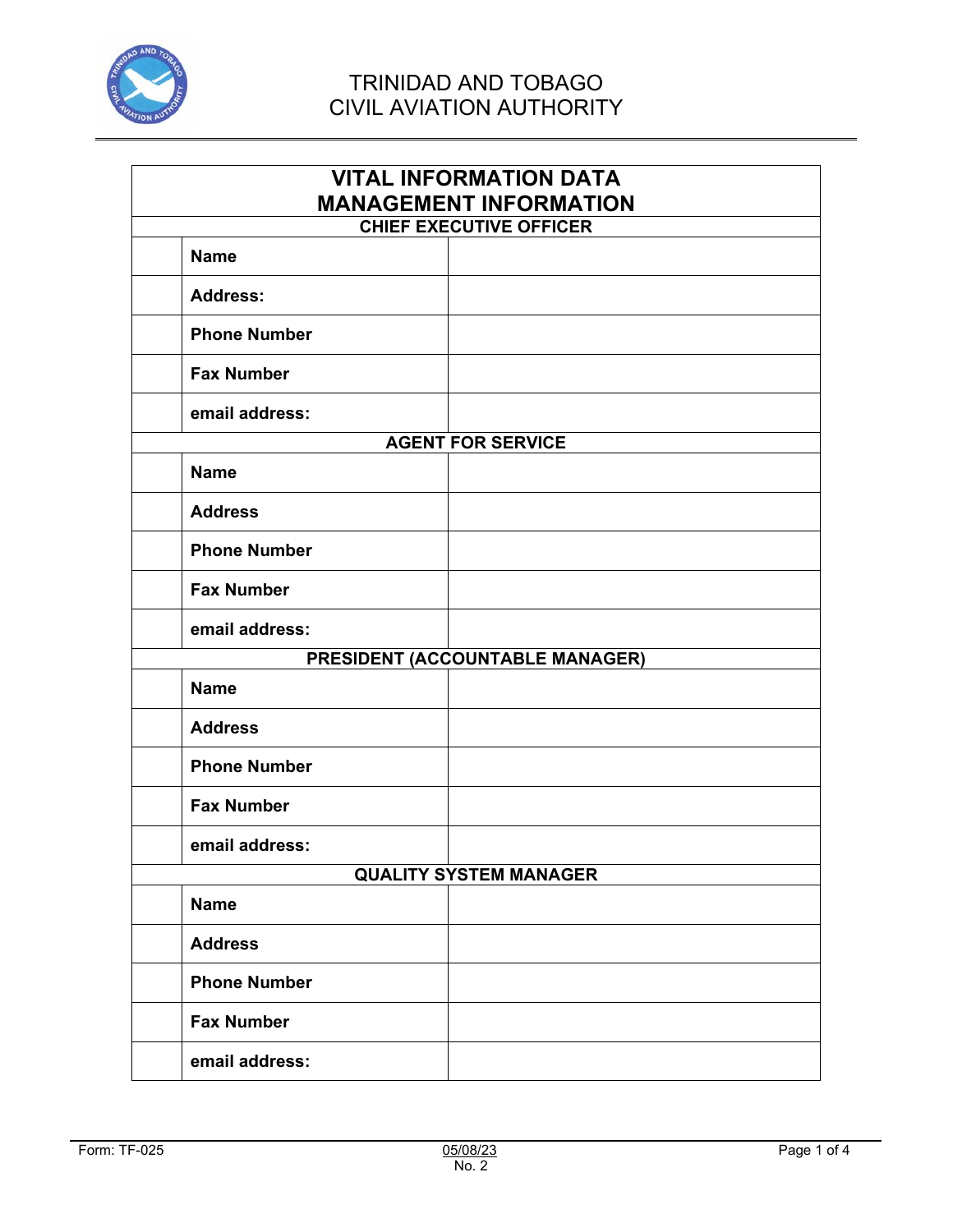

| <b>VITAL INFORMATION DATA</b><br><b>MANAGEMENT INFORMATION</b><br><b>CHIEF EXECUTIVE OFFICER</b> |                          |  |
|--------------------------------------------------------------------------------------------------|--------------------------|--|
| <b>Name</b>                                                                                      |                          |  |
| <b>Address:</b>                                                                                  |                          |  |
| <b>Phone Number</b>                                                                              |                          |  |
| <b>Fax Number</b>                                                                                |                          |  |
| email address:                                                                                   |                          |  |
|                                                                                                  | <b>AGENT FOR SERVICE</b> |  |
| <b>Name</b>                                                                                      |                          |  |
| <b>Address</b>                                                                                   |                          |  |
| <b>Phone Number</b>                                                                              |                          |  |
| <b>Fax Number</b>                                                                                |                          |  |
| email address:                                                                                   |                          |  |
| PRESIDENT (ACCOUNTABLE MANAGER)                                                                  |                          |  |
| <b>Name</b>                                                                                      |                          |  |
| <b>Address</b>                                                                                   |                          |  |
| <b>Phone Number</b>                                                                              |                          |  |
| <b>Fax Number</b>                                                                                |                          |  |
| email address:                                                                                   |                          |  |
| <b>QUALITY SYSTEM MANAGER</b>                                                                    |                          |  |
| <b>Name</b>                                                                                      |                          |  |
| <b>Address</b>                                                                                   |                          |  |
| <b>Phone Number</b>                                                                              |                          |  |
| <b>Fax Number</b>                                                                                |                          |  |
| email address:                                                                                   |                          |  |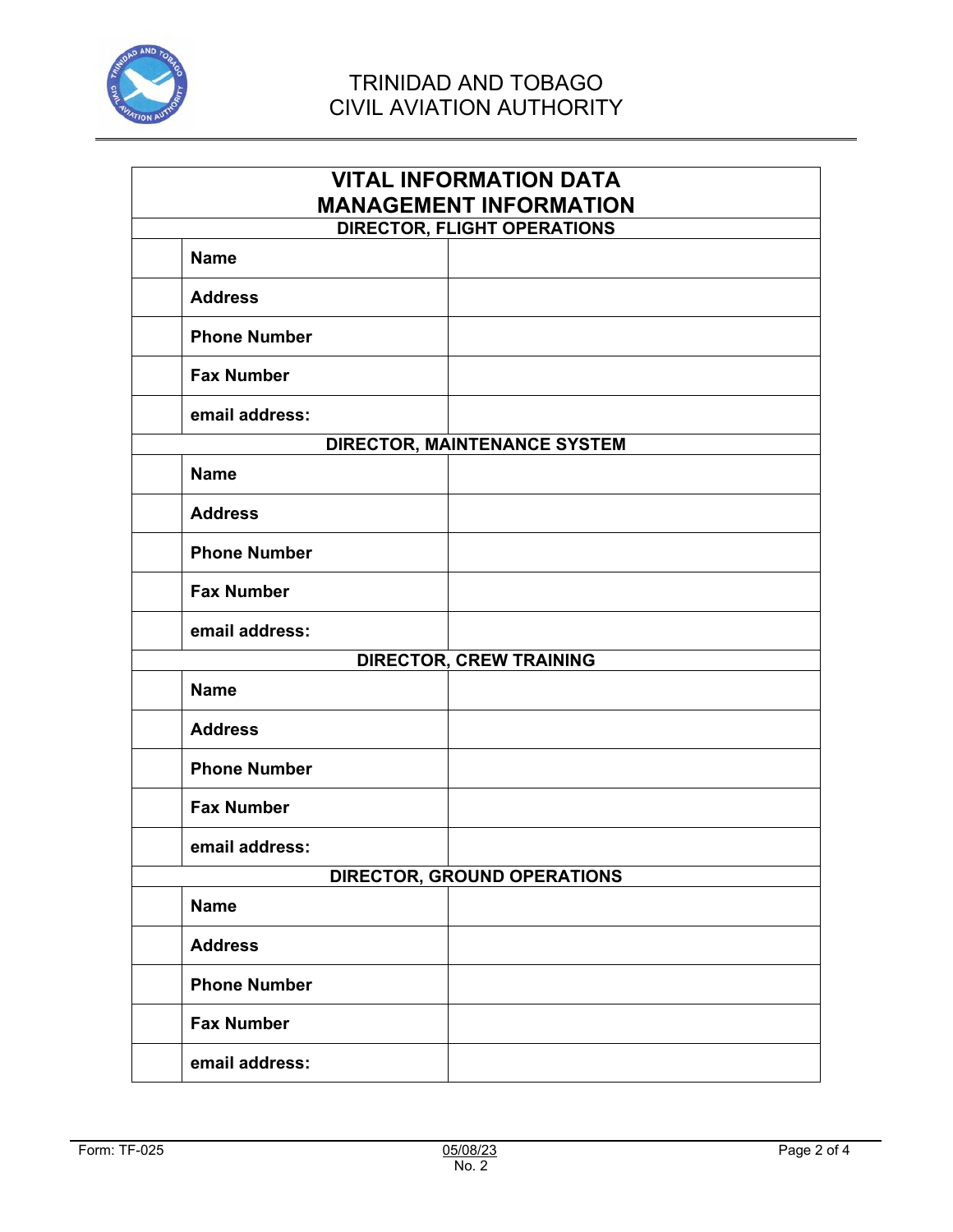

| <b>VITAL INFORMATION DATA</b><br><b>MANAGEMENT INFORMATION</b><br><b>DIRECTOR, FLIGHT OPERATIONS</b> |  |  |
|------------------------------------------------------------------------------------------------------|--|--|
| <b>Name</b>                                                                                          |  |  |
| <b>Address</b>                                                                                       |  |  |
|                                                                                                      |  |  |
| <b>Phone Number</b>                                                                                  |  |  |
| <b>Fax Number</b>                                                                                    |  |  |
| email address:                                                                                       |  |  |
| <b>DIRECTOR, MAINTENANCE SYSTEM</b>                                                                  |  |  |
| <b>Name</b>                                                                                          |  |  |
| <b>Address</b>                                                                                       |  |  |
| <b>Phone Number</b>                                                                                  |  |  |
| <b>Fax Number</b>                                                                                    |  |  |
| email address:                                                                                       |  |  |
| <b>DIRECTOR, CREW TRAINING</b>                                                                       |  |  |
| <b>Name</b>                                                                                          |  |  |
| <b>Address</b>                                                                                       |  |  |
| <b>Phone Number</b>                                                                                  |  |  |
| <b>Fax Number</b>                                                                                    |  |  |
| email address:                                                                                       |  |  |
| <b>DIRECTOR, GROUND OPERATIONS</b>                                                                   |  |  |
| <b>Name</b>                                                                                          |  |  |
| <b>Address</b>                                                                                       |  |  |
| <b>Phone Number</b>                                                                                  |  |  |
| <b>Fax Number</b>                                                                                    |  |  |
| email address:                                                                                       |  |  |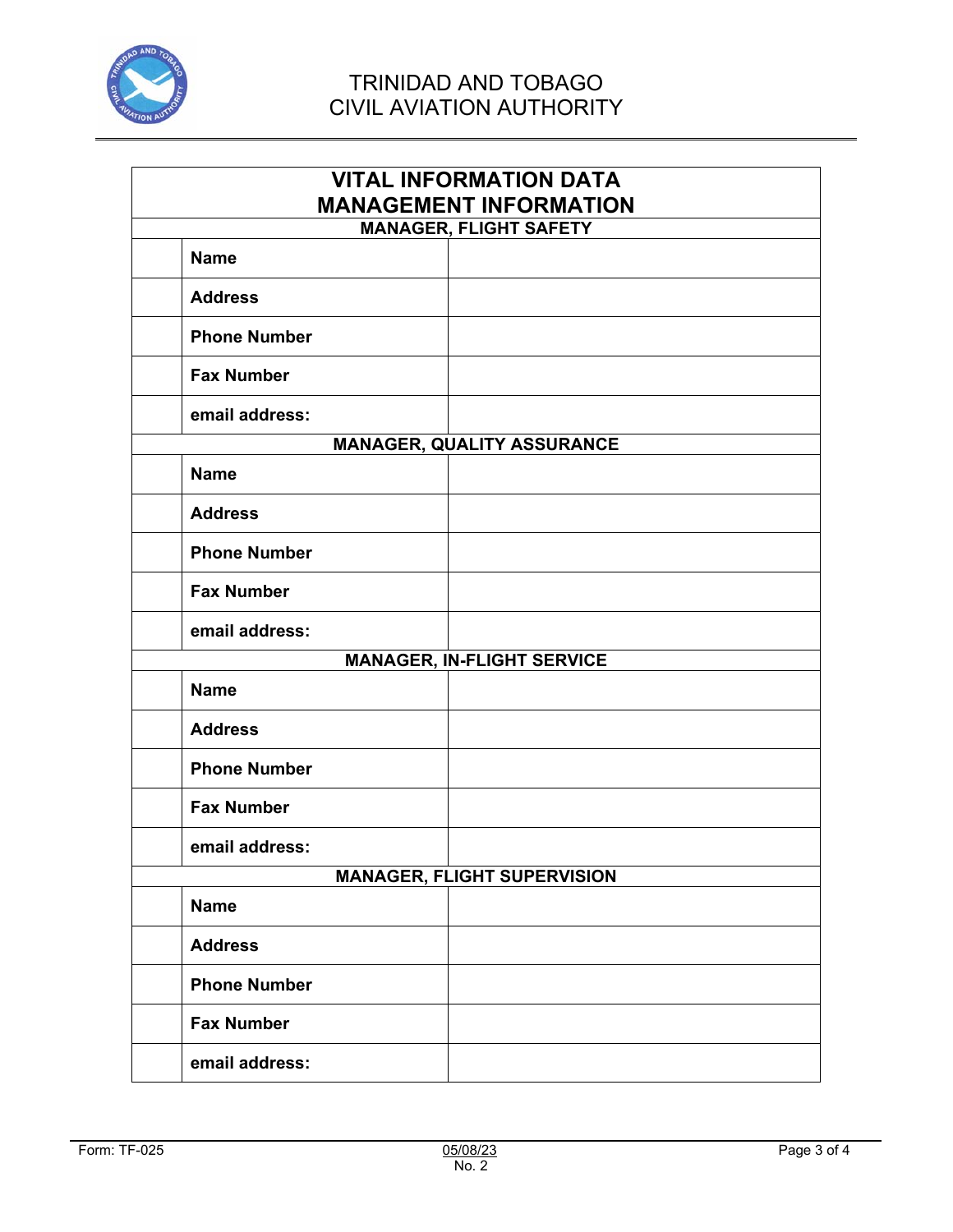

| <b>VITAL INFORMATION DATA</b><br><b>MANAGEMENT INFORMATION</b> |                                   |  |
|----------------------------------------------------------------|-----------------------------------|--|
| <b>MANAGER, FLIGHT SAFETY</b>                                  |                                   |  |
| <b>Name</b>                                                    |                                   |  |
| <b>Address</b>                                                 |                                   |  |
| <b>Phone Number</b>                                            |                                   |  |
| <b>Fax Number</b>                                              |                                   |  |
| email address:                                                 |                                   |  |
|                                                                | <b>MANAGER, QUALITY ASSURANCE</b> |  |
| <b>Name</b>                                                    |                                   |  |
| <b>Address</b>                                                 |                                   |  |
| <b>Phone Number</b>                                            |                                   |  |
| <b>Fax Number</b>                                              |                                   |  |
| email address:                                                 |                                   |  |
| <b>MANAGER, IN-FLIGHT SERVICE</b>                              |                                   |  |
| <b>Name</b>                                                    |                                   |  |
| <b>Address</b>                                                 |                                   |  |
| <b>Phone Number</b>                                            |                                   |  |
| <b>Fax Number</b>                                              |                                   |  |
| email address:                                                 |                                   |  |
| <b>MANAGER, FLIGHT SUPERVISION</b>                             |                                   |  |
| <b>Name</b>                                                    |                                   |  |
| <b>Address</b>                                                 |                                   |  |
| <b>Phone Number</b>                                            |                                   |  |
| <b>Fax Number</b>                                              |                                   |  |
| email address:                                                 |                                   |  |